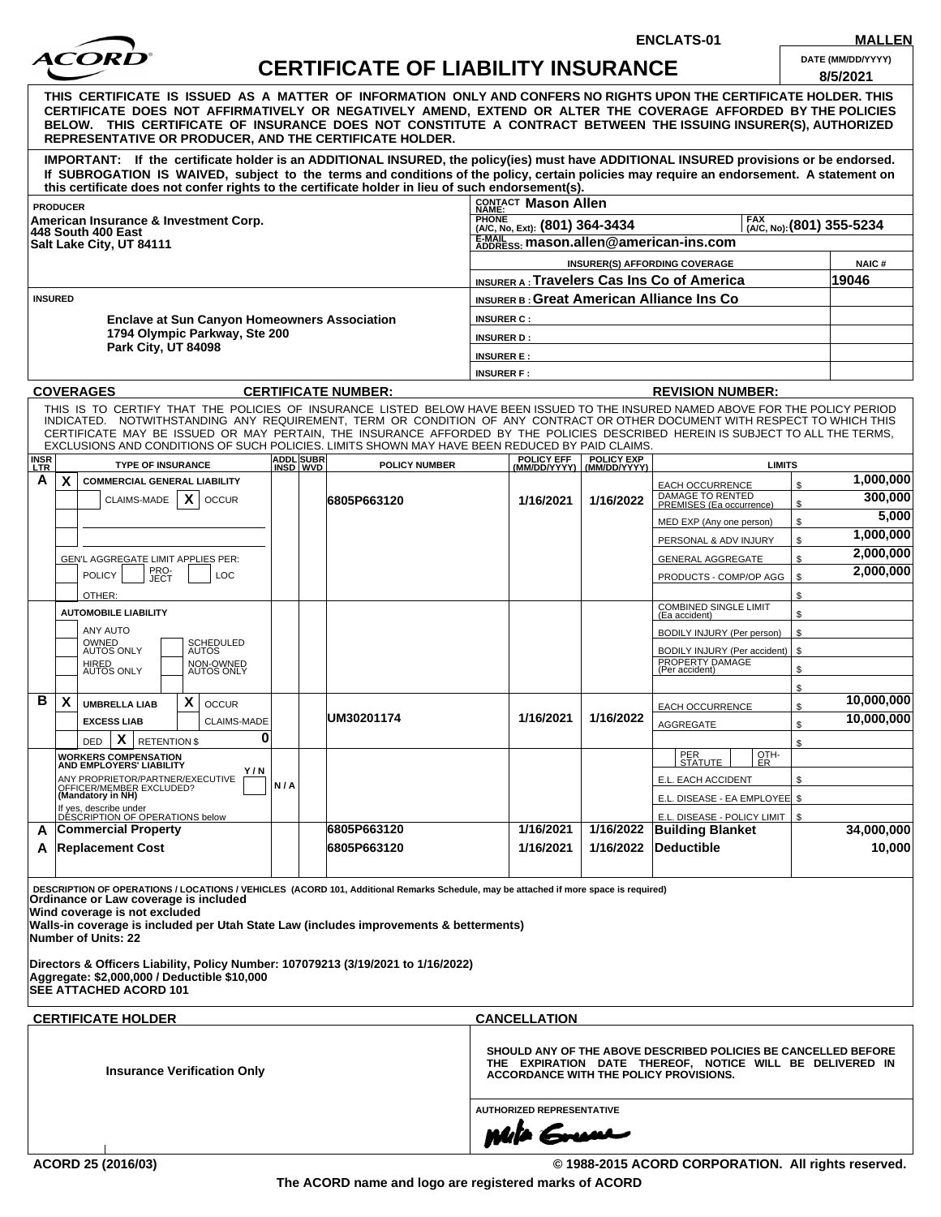

**ENCLATS-01 MALLEN**<br>**ALC C** 

| THIS CERTIFICATE IS ISSUED AS A MATTER OF INFORMATION ONLY AND CONFERS NO RIGHTS UPON THE CERTIFICATE HOLDER. THIS<br>CERTIFICATE DOES NOT AFFIRMATIVELY OR NEGATIVELY AMEND, EXTEND OR ALTER THE COVERAGE AFFORDED BY THE POLICIES<br>BELOW. THIS CERTIFICATE OF INSURANCE DOES NOT CONSTITUTE A CONTRACT BETWEEN THE ISSUING INSURER(S), AUTHORIZED<br><b>REPRESENTATIVE OR PRODUCER, AND THE CERTIFICATE HOLDER.</b><br>IMPORTANT: If the certificate holder is an ADDITIONAL INSURED, the policy(ies) must have ADDITIONAL INSURED provisions or be endorsed.<br>If SUBROGATION IS WAIVED, subject to the terms and conditions of the policy, certain policies may require an endorsement. A statement on<br>this certificate does not confer rights to the certificate holder in lieu of such endorsement(s).<br>CONTACT Mason Allen<br>PHONE<br>(A/C, No, Ext): (801) 364-3434<br>[A/C, No): (801) 355-5234<br>E-MAIL mason.allen@american-ins.com<br>Salt Lake City, UT 84111<br>INSURER(S) AFFORDING COVERAGE<br><b>NAIC#</b><br><b>INSURER A: Travelers Cas Ins Co of America</b><br>19046<br><b>INSURER B: Great American Alliance Ins Co</b><br><b>Enclave at Sun Canyon Homeowners Association</b><br><b>INSURER C:</b><br>1794 Olympic Parkway, Ste 200<br><b>INSURER D:</b><br>Park City, UT 84098<br><b>INSURER E:</b><br><b>INSURER F:</b><br><b>CERTIFICATE NUMBER:</b><br><b>REVISION NUMBER:</b><br>THIS IS TO CERTIFY THAT THE POLICIES OF INSURANCE LISTED BELOW HAVE BEEN ISSUED TO THE INSURED NAMED ABOVE FOR THE POLICY PERIOD<br>INDICATED. NOTWITHSTANDING ANY REQUIREMENT, TERM OR CONDITION OF ANY CONTRACT OR OTHER DOCUMENT WITH RESPECT TO WHICH THIS<br>CERTIFICATE MAY BE ISSUED OR MAY PERTAIN, THE INSURANCE AFFORDED BY THE POLICIES DESCRIBED HEREIN IS SUBJECT TO ALL THE TERMS,<br>EXCLUSIONS AND CONDITIONS OF SUCH POLICIES. LIMITS SHOWN MAY HAVE BEEN REDUCED BY PAID CLAIMS.<br><b>ADDL</b> SUBR<br><b>POLICY EFF</b><br><b>POLICY EXP</b><br><b>TYPE OF INSURANCE</b><br><b>POLICY NUMBER</b><br><b>LIMITS</b><br><b>INSD WVD</b><br>(MM/DD/YYYY) (MM/DD/YYYY)<br><b>COMMERCIAL GENERAL LIABILITY</b><br>$\mathfrak{L}$<br><b>EACH OCCURRENCE</b><br>DAMAGE TO RENTED<br>PREMISES (Ea occurrence)<br>X<br>CLAIMS-MADE<br><b>OCCUR</b><br>6805P663120<br>1/16/2021<br>1/16/2022<br>\$<br>\$<br>MED EXP (Any one person)<br>\$<br>PERSONAL & ADV INJURY<br>\$<br><b>GENERAL AGGREGATE</b><br>GEN'L AGGREGATE LIMIT APPLIES PER:<br>PRO-<br>JECT<br><b>POLICY</b><br>LOC<br>PRODUCTS - COMP/OP AGG<br>\$<br>\$<br>OTHER:<br><b>COMBINED SINGLE LIMIT</b><br><b>AUTOMOBILE LIABILITY</b><br>\$<br>(Ea accident)<br>ANY AUTO<br>\$<br>BODILY INJURY (Per person)<br>OWNED<br>AUTOS ONLY<br>SCHEDULED<br>AUTOS<br>BODILY INJURY (Per accident)   \$<br>PROPERTY DAMAGE<br>(Per accident)<br>HIRED<br>AUTOS ONLY<br>NON-OWNED<br>AUTOS ONLY<br>\$<br>\$<br>X<br><b>OCCUR</b><br><b>UMBRELLA LIAB</b><br>\$<br><b>EACH OCCURRENCE</b><br>UM30201174<br>1/16/2021<br>1/16/2022<br><b>EXCESS LIAB</b><br><b>CLAIMS-MADE</b><br>\$<br><b>AGGREGATE</b><br>0<br>$\mathbf{X}$<br><b>RETENTION \$</b><br><b>DED</b><br>\$<br>PER<br>STATUTE<br>OTH-<br><b>WORKERS COMPENSATION<br/>AND EMPLOYERS' LIABILITY</b><br>ER.<br>Y/N<br>E.L. EACH ACCIDENT<br>\$<br>N/A<br>E.L. DISEASE - EA EMPLOYEE \$<br>E.L. DISEASE - POLICY LIMIT   \$<br>1/16/2022 Building Blanket<br>6805P663120<br>1/16/2021 |                           | ACOKD                                                                                                                                                                                                                      |  | <b>CERTIFICATE OF LIABILITY INSURANCE</b> |                                  |           |            |  |  | DATE (MM/DD/YYYY)<br>8/5/2021 |
|---------------------------------------------------------------------------------------------------------------------------------------------------------------------------------------------------------------------------------------------------------------------------------------------------------------------------------------------------------------------------------------------------------------------------------------------------------------------------------------------------------------------------------------------------------------------------------------------------------------------------------------------------------------------------------------------------------------------------------------------------------------------------------------------------------------------------------------------------------------------------------------------------------------------------------------------------------------------------------------------------------------------------------------------------------------------------------------------------------------------------------------------------------------------------------------------------------------------------------------------------------------------------------------------------------------------------------------------------------------------------------------------------------------------------------------------------------------------------------------------------------------------------------------------------------------------------------------------------------------------------------------------------------------------------------------------------------------------------------------------------------------------------------------------------------------------------------------------------------------------------------------------------------------------------------------------------------------------------------------------------------------------------------------------------------------------------------------------------------------------------------------------------------------------------------------------------------------------------------------------------------------------------------------------------------------------------------------------------------------------------------------------------------------------------------------------------------------------------------------------------------------------------------------------------------------------------------------------------------------------------------------------------------------------------------------------------------------------------------------------------------------------------------------------------------------------------------------------------------------------------------------------------------------------------------------------------------------------------------------------------------------------------------------------------------------------------------------------------------------------------------------------------------------------------------------------------------------------------------------------------------------------------------------------------------------------------------------------------------------------------------------------------------------------------------|---------------------------|----------------------------------------------------------------------------------------------------------------------------------------------------------------------------------------------------------------------------|--|-------------------------------------------|----------------------------------|-----------|------------|--|--|-------------------------------|
| 2,000,000                                                                                                                                                                                                                                                                                                                                                                                                                                                                                                                                                                                                                                                                                                                                                                                                                                                                                                                                                                                                                                                                                                                                                                                                                                                                                                                                                                                                                                                                                                                                                                                                                                                                                                                                                                                                                                                                                                                                                                                                                                                                                                                                                                                                                                                                                                                                                                                                                                                                                                                                                                                                                                                                                                                                                                                                                                                                                                                                                                                                                                                                                                                                                                                                                                                                                                                                                                                                                       |                           |                                                                                                                                                                                                                            |  |                                           |                                  |           |            |  |  |                               |
| 1,000,000<br>300,000<br>5,000<br>1,000,000<br>2,000,000<br>10,000,000<br>10,000,000<br>34,000,000                                                                                                                                                                                                                                                                                                                                                                                                                                                                                                                                                                                                                                                                                                                                                                                                                                                                                                                                                                                                                                                                                                                                                                                                                                                                                                                                                                                                                                                                                                                                                                                                                                                                                                                                                                                                                                                                                                                                                                                                                                                                                                                                                                                                                                                                                                                                                                                                                                                                                                                                                                                                                                                                                                                                                                                                                                                                                                                                                                                                                                                                                                                                                                                                                                                                                                                               |                           |                                                                                                                                                                                                                            |  |                                           |                                  |           |            |  |  |                               |
|                                                                                                                                                                                                                                                                                                                                                                                                                                                                                                                                                                                                                                                                                                                                                                                                                                                                                                                                                                                                                                                                                                                                                                                                                                                                                                                                                                                                                                                                                                                                                                                                                                                                                                                                                                                                                                                                                                                                                                                                                                                                                                                                                                                                                                                                                                                                                                                                                                                                                                                                                                                                                                                                                                                                                                                                                                                                                                                                                                                                                                                                                                                                                                                                                                                                                                                                                                                                                                 |                           | <b>PRODUCER</b>                                                                                                                                                                                                            |  |                                           |                                  |           |            |  |  |                               |
|                                                                                                                                                                                                                                                                                                                                                                                                                                                                                                                                                                                                                                                                                                                                                                                                                                                                                                                                                                                                                                                                                                                                                                                                                                                                                                                                                                                                                                                                                                                                                                                                                                                                                                                                                                                                                                                                                                                                                                                                                                                                                                                                                                                                                                                                                                                                                                                                                                                                                                                                                                                                                                                                                                                                                                                                                                                                                                                                                                                                                                                                                                                                                                                                                                                                                                                                                                                                                                 |                           | American Insurance & Investment Corp.                                                                                                                                                                                      |  |                                           |                                  |           |            |  |  |                               |
|                                                                                                                                                                                                                                                                                                                                                                                                                                                                                                                                                                                                                                                                                                                                                                                                                                                                                                                                                                                                                                                                                                                                                                                                                                                                                                                                                                                                                                                                                                                                                                                                                                                                                                                                                                                                                                                                                                                                                                                                                                                                                                                                                                                                                                                                                                                                                                                                                                                                                                                                                                                                                                                                                                                                                                                                                                                                                                                                                                                                                                                                                                                                                                                                                                                                                                                                                                                                                                 |                           | 448 South 400 East                                                                                                                                                                                                         |  |                                           |                                  |           |            |  |  |                               |
|                                                                                                                                                                                                                                                                                                                                                                                                                                                                                                                                                                                                                                                                                                                                                                                                                                                                                                                                                                                                                                                                                                                                                                                                                                                                                                                                                                                                                                                                                                                                                                                                                                                                                                                                                                                                                                                                                                                                                                                                                                                                                                                                                                                                                                                                                                                                                                                                                                                                                                                                                                                                                                                                                                                                                                                                                                                                                                                                                                                                                                                                                                                                                                                                                                                                                                                                                                                                                                 |                           |                                                                                                                                                                                                                            |  |                                           |                                  |           |            |  |  |                               |
|                                                                                                                                                                                                                                                                                                                                                                                                                                                                                                                                                                                                                                                                                                                                                                                                                                                                                                                                                                                                                                                                                                                                                                                                                                                                                                                                                                                                                                                                                                                                                                                                                                                                                                                                                                                                                                                                                                                                                                                                                                                                                                                                                                                                                                                                                                                                                                                                                                                                                                                                                                                                                                                                                                                                                                                                                                                                                                                                                                                                                                                                                                                                                                                                                                                                                                                                                                                                                                 |                           |                                                                                                                                                                                                                            |  |                                           |                                  |           |            |  |  |                               |
|                                                                                                                                                                                                                                                                                                                                                                                                                                                                                                                                                                                                                                                                                                                                                                                                                                                                                                                                                                                                                                                                                                                                                                                                                                                                                                                                                                                                                                                                                                                                                                                                                                                                                                                                                                                                                                                                                                                                                                                                                                                                                                                                                                                                                                                                                                                                                                                                                                                                                                                                                                                                                                                                                                                                                                                                                                                                                                                                                                                                                                                                                                                                                                                                                                                                                                                                                                                                                                 |                           |                                                                                                                                                                                                                            |  |                                           |                                  |           |            |  |  |                               |
|                                                                                                                                                                                                                                                                                                                                                                                                                                                                                                                                                                                                                                                                                                                                                                                                                                                                                                                                                                                                                                                                                                                                                                                                                                                                                                                                                                                                                                                                                                                                                                                                                                                                                                                                                                                                                                                                                                                                                                                                                                                                                                                                                                                                                                                                                                                                                                                                                                                                                                                                                                                                                                                                                                                                                                                                                                                                                                                                                                                                                                                                                                                                                                                                                                                                                                                                                                                                                                 |                           | <b>INSURED</b>                                                                                                                                                                                                             |  |                                           |                                  |           |            |  |  |                               |
|                                                                                                                                                                                                                                                                                                                                                                                                                                                                                                                                                                                                                                                                                                                                                                                                                                                                                                                                                                                                                                                                                                                                                                                                                                                                                                                                                                                                                                                                                                                                                                                                                                                                                                                                                                                                                                                                                                                                                                                                                                                                                                                                                                                                                                                                                                                                                                                                                                                                                                                                                                                                                                                                                                                                                                                                                                                                                                                                                                                                                                                                                                                                                                                                                                                                                                                                                                                                                                 |                           |                                                                                                                                                                                                                            |  |                                           |                                  |           |            |  |  |                               |
|                                                                                                                                                                                                                                                                                                                                                                                                                                                                                                                                                                                                                                                                                                                                                                                                                                                                                                                                                                                                                                                                                                                                                                                                                                                                                                                                                                                                                                                                                                                                                                                                                                                                                                                                                                                                                                                                                                                                                                                                                                                                                                                                                                                                                                                                                                                                                                                                                                                                                                                                                                                                                                                                                                                                                                                                                                                                                                                                                                                                                                                                                                                                                                                                                                                                                                                                                                                                                                 |                           |                                                                                                                                                                                                                            |  |                                           |                                  |           |            |  |  |                               |
|                                                                                                                                                                                                                                                                                                                                                                                                                                                                                                                                                                                                                                                                                                                                                                                                                                                                                                                                                                                                                                                                                                                                                                                                                                                                                                                                                                                                                                                                                                                                                                                                                                                                                                                                                                                                                                                                                                                                                                                                                                                                                                                                                                                                                                                                                                                                                                                                                                                                                                                                                                                                                                                                                                                                                                                                                                                                                                                                                                                                                                                                                                                                                                                                                                                                                                                                                                                                                                 |                           |                                                                                                                                                                                                                            |  |                                           |                                  |           |            |  |  |                               |
|                                                                                                                                                                                                                                                                                                                                                                                                                                                                                                                                                                                                                                                                                                                                                                                                                                                                                                                                                                                                                                                                                                                                                                                                                                                                                                                                                                                                                                                                                                                                                                                                                                                                                                                                                                                                                                                                                                                                                                                                                                                                                                                                                                                                                                                                                                                                                                                                                                                                                                                                                                                                                                                                                                                                                                                                                                                                                                                                                                                                                                                                                                                                                                                                                                                                                                                                                                                                                                 |                           |                                                                                                                                                                                                                            |  |                                           |                                  |           |            |  |  |                               |
|                                                                                                                                                                                                                                                                                                                                                                                                                                                                                                                                                                                                                                                                                                                                                                                                                                                                                                                                                                                                                                                                                                                                                                                                                                                                                                                                                                                                                                                                                                                                                                                                                                                                                                                                                                                                                                                                                                                                                                                                                                                                                                                                                                                                                                                                                                                                                                                                                                                                                                                                                                                                                                                                                                                                                                                                                                                                                                                                                                                                                                                                                                                                                                                                                                                                                                                                                                                                                                 |                           | <b>COVERAGES</b>                                                                                                                                                                                                           |  |                                           |                                  |           |            |  |  |                               |
|                                                                                                                                                                                                                                                                                                                                                                                                                                                                                                                                                                                                                                                                                                                                                                                                                                                                                                                                                                                                                                                                                                                                                                                                                                                                                                                                                                                                                                                                                                                                                                                                                                                                                                                                                                                                                                                                                                                                                                                                                                                                                                                                                                                                                                                                                                                                                                                                                                                                                                                                                                                                                                                                                                                                                                                                                                                                                                                                                                                                                                                                                                                                                                                                                                                                                                                                                                                                                                 |                           |                                                                                                                                                                                                                            |  |                                           |                                  |           |            |  |  |                               |
|                                                                                                                                                                                                                                                                                                                                                                                                                                                                                                                                                                                                                                                                                                                                                                                                                                                                                                                                                                                                                                                                                                                                                                                                                                                                                                                                                                                                                                                                                                                                                                                                                                                                                                                                                                                                                                                                                                                                                                                                                                                                                                                                                                                                                                                                                                                                                                                                                                                                                                                                                                                                                                                                                                                                                                                                                                                                                                                                                                                                                                                                                                                                                                                                                                                                                                                                                                                                                                 | <b>INSR</b><br><b>LTR</b> |                                                                                                                                                                                                                            |  |                                           |                                  |           |            |  |  |                               |
|                                                                                                                                                                                                                                                                                                                                                                                                                                                                                                                                                                                                                                                                                                                                                                                                                                                                                                                                                                                                                                                                                                                                                                                                                                                                                                                                                                                                                                                                                                                                                                                                                                                                                                                                                                                                                                                                                                                                                                                                                                                                                                                                                                                                                                                                                                                                                                                                                                                                                                                                                                                                                                                                                                                                                                                                                                                                                                                                                                                                                                                                                                                                                                                                                                                                                                                                                                                                                                 | A                         | X                                                                                                                                                                                                                          |  |                                           |                                  |           |            |  |  |                               |
|                                                                                                                                                                                                                                                                                                                                                                                                                                                                                                                                                                                                                                                                                                                                                                                                                                                                                                                                                                                                                                                                                                                                                                                                                                                                                                                                                                                                                                                                                                                                                                                                                                                                                                                                                                                                                                                                                                                                                                                                                                                                                                                                                                                                                                                                                                                                                                                                                                                                                                                                                                                                                                                                                                                                                                                                                                                                                                                                                                                                                                                                                                                                                                                                                                                                                                                                                                                                                                 |                           |                                                                                                                                                                                                                            |  |                                           |                                  |           |            |  |  |                               |
|                                                                                                                                                                                                                                                                                                                                                                                                                                                                                                                                                                                                                                                                                                                                                                                                                                                                                                                                                                                                                                                                                                                                                                                                                                                                                                                                                                                                                                                                                                                                                                                                                                                                                                                                                                                                                                                                                                                                                                                                                                                                                                                                                                                                                                                                                                                                                                                                                                                                                                                                                                                                                                                                                                                                                                                                                                                                                                                                                                                                                                                                                                                                                                                                                                                                                                                                                                                                                                 |                           |                                                                                                                                                                                                                            |  |                                           |                                  |           |            |  |  |                               |
|                                                                                                                                                                                                                                                                                                                                                                                                                                                                                                                                                                                                                                                                                                                                                                                                                                                                                                                                                                                                                                                                                                                                                                                                                                                                                                                                                                                                                                                                                                                                                                                                                                                                                                                                                                                                                                                                                                                                                                                                                                                                                                                                                                                                                                                                                                                                                                                                                                                                                                                                                                                                                                                                                                                                                                                                                                                                                                                                                                                                                                                                                                                                                                                                                                                                                                                                                                                                                                 |                           |                                                                                                                                                                                                                            |  |                                           |                                  |           |            |  |  |                               |
|                                                                                                                                                                                                                                                                                                                                                                                                                                                                                                                                                                                                                                                                                                                                                                                                                                                                                                                                                                                                                                                                                                                                                                                                                                                                                                                                                                                                                                                                                                                                                                                                                                                                                                                                                                                                                                                                                                                                                                                                                                                                                                                                                                                                                                                                                                                                                                                                                                                                                                                                                                                                                                                                                                                                                                                                                                                                                                                                                                                                                                                                                                                                                                                                                                                                                                                                                                                                                                 |                           |                                                                                                                                                                                                                            |  |                                           |                                  |           |            |  |  |                               |
|                                                                                                                                                                                                                                                                                                                                                                                                                                                                                                                                                                                                                                                                                                                                                                                                                                                                                                                                                                                                                                                                                                                                                                                                                                                                                                                                                                                                                                                                                                                                                                                                                                                                                                                                                                                                                                                                                                                                                                                                                                                                                                                                                                                                                                                                                                                                                                                                                                                                                                                                                                                                                                                                                                                                                                                                                                                                                                                                                                                                                                                                                                                                                                                                                                                                                                                                                                                                                                 |                           |                                                                                                                                                                                                                            |  |                                           |                                  |           |            |  |  |                               |
|                                                                                                                                                                                                                                                                                                                                                                                                                                                                                                                                                                                                                                                                                                                                                                                                                                                                                                                                                                                                                                                                                                                                                                                                                                                                                                                                                                                                                                                                                                                                                                                                                                                                                                                                                                                                                                                                                                                                                                                                                                                                                                                                                                                                                                                                                                                                                                                                                                                                                                                                                                                                                                                                                                                                                                                                                                                                                                                                                                                                                                                                                                                                                                                                                                                                                                                                                                                                                                 |                           |                                                                                                                                                                                                                            |  |                                           |                                  |           |            |  |  |                               |
|                                                                                                                                                                                                                                                                                                                                                                                                                                                                                                                                                                                                                                                                                                                                                                                                                                                                                                                                                                                                                                                                                                                                                                                                                                                                                                                                                                                                                                                                                                                                                                                                                                                                                                                                                                                                                                                                                                                                                                                                                                                                                                                                                                                                                                                                                                                                                                                                                                                                                                                                                                                                                                                                                                                                                                                                                                                                                                                                                                                                                                                                                                                                                                                                                                                                                                                                                                                                                                 |                           |                                                                                                                                                                                                                            |  |                                           |                                  |           |            |  |  |                               |
|                                                                                                                                                                                                                                                                                                                                                                                                                                                                                                                                                                                                                                                                                                                                                                                                                                                                                                                                                                                                                                                                                                                                                                                                                                                                                                                                                                                                                                                                                                                                                                                                                                                                                                                                                                                                                                                                                                                                                                                                                                                                                                                                                                                                                                                                                                                                                                                                                                                                                                                                                                                                                                                                                                                                                                                                                                                                                                                                                                                                                                                                                                                                                                                                                                                                                                                                                                                                                                 |                           |                                                                                                                                                                                                                            |  |                                           |                                  |           |            |  |  |                               |
|                                                                                                                                                                                                                                                                                                                                                                                                                                                                                                                                                                                                                                                                                                                                                                                                                                                                                                                                                                                                                                                                                                                                                                                                                                                                                                                                                                                                                                                                                                                                                                                                                                                                                                                                                                                                                                                                                                                                                                                                                                                                                                                                                                                                                                                                                                                                                                                                                                                                                                                                                                                                                                                                                                                                                                                                                                                                                                                                                                                                                                                                                                                                                                                                                                                                                                                                                                                                                                 |                           |                                                                                                                                                                                                                            |  |                                           |                                  |           |            |  |  |                               |
|                                                                                                                                                                                                                                                                                                                                                                                                                                                                                                                                                                                                                                                                                                                                                                                                                                                                                                                                                                                                                                                                                                                                                                                                                                                                                                                                                                                                                                                                                                                                                                                                                                                                                                                                                                                                                                                                                                                                                                                                                                                                                                                                                                                                                                                                                                                                                                                                                                                                                                                                                                                                                                                                                                                                                                                                                                                                                                                                                                                                                                                                                                                                                                                                                                                                                                                                                                                                                                 |                           |                                                                                                                                                                                                                            |  |                                           |                                  |           |            |  |  |                               |
|                                                                                                                                                                                                                                                                                                                                                                                                                                                                                                                                                                                                                                                                                                                                                                                                                                                                                                                                                                                                                                                                                                                                                                                                                                                                                                                                                                                                                                                                                                                                                                                                                                                                                                                                                                                                                                                                                                                                                                                                                                                                                                                                                                                                                                                                                                                                                                                                                                                                                                                                                                                                                                                                                                                                                                                                                                                                                                                                                                                                                                                                                                                                                                                                                                                                                                                                                                                                                                 |                           |                                                                                                                                                                                                                            |  |                                           |                                  |           |            |  |  |                               |
|                                                                                                                                                                                                                                                                                                                                                                                                                                                                                                                                                                                                                                                                                                                                                                                                                                                                                                                                                                                                                                                                                                                                                                                                                                                                                                                                                                                                                                                                                                                                                                                                                                                                                                                                                                                                                                                                                                                                                                                                                                                                                                                                                                                                                                                                                                                                                                                                                                                                                                                                                                                                                                                                                                                                                                                                                                                                                                                                                                                                                                                                                                                                                                                                                                                                                                                                                                                                                                 |                           |                                                                                                                                                                                                                            |  |                                           |                                  |           |            |  |  |                               |
|                                                                                                                                                                                                                                                                                                                                                                                                                                                                                                                                                                                                                                                                                                                                                                                                                                                                                                                                                                                                                                                                                                                                                                                                                                                                                                                                                                                                                                                                                                                                                                                                                                                                                                                                                                                                                                                                                                                                                                                                                                                                                                                                                                                                                                                                                                                                                                                                                                                                                                                                                                                                                                                                                                                                                                                                                                                                                                                                                                                                                                                                                                                                                                                                                                                                                                                                                                                                                                 | В                         | X                                                                                                                                                                                                                          |  |                                           |                                  |           |            |  |  |                               |
|                                                                                                                                                                                                                                                                                                                                                                                                                                                                                                                                                                                                                                                                                                                                                                                                                                                                                                                                                                                                                                                                                                                                                                                                                                                                                                                                                                                                                                                                                                                                                                                                                                                                                                                                                                                                                                                                                                                                                                                                                                                                                                                                                                                                                                                                                                                                                                                                                                                                                                                                                                                                                                                                                                                                                                                                                                                                                                                                                                                                                                                                                                                                                                                                                                                                                                                                                                                                                                 |                           |                                                                                                                                                                                                                            |  |                                           |                                  |           |            |  |  |                               |
|                                                                                                                                                                                                                                                                                                                                                                                                                                                                                                                                                                                                                                                                                                                                                                                                                                                                                                                                                                                                                                                                                                                                                                                                                                                                                                                                                                                                                                                                                                                                                                                                                                                                                                                                                                                                                                                                                                                                                                                                                                                                                                                                                                                                                                                                                                                                                                                                                                                                                                                                                                                                                                                                                                                                                                                                                                                                                                                                                                                                                                                                                                                                                                                                                                                                                                                                                                                                                                 |                           |                                                                                                                                                                                                                            |  |                                           |                                  |           |            |  |  |                               |
|                                                                                                                                                                                                                                                                                                                                                                                                                                                                                                                                                                                                                                                                                                                                                                                                                                                                                                                                                                                                                                                                                                                                                                                                                                                                                                                                                                                                                                                                                                                                                                                                                                                                                                                                                                                                                                                                                                                                                                                                                                                                                                                                                                                                                                                                                                                                                                                                                                                                                                                                                                                                                                                                                                                                                                                                                                                                                                                                                                                                                                                                                                                                                                                                                                                                                                                                                                                                                                 |                           |                                                                                                                                                                                                                            |  |                                           |                                  |           |            |  |  |                               |
|                                                                                                                                                                                                                                                                                                                                                                                                                                                                                                                                                                                                                                                                                                                                                                                                                                                                                                                                                                                                                                                                                                                                                                                                                                                                                                                                                                                                                                                                                                                                                                                                                                                                                                                                                                                                                                                                                                                                                                                                                                                                                                                                                                                                                                                                                                                                                                                                                                                                                                                                                                                                                                                                                                                                                                                                                                                                                                                                                                                                                                                                                                                                                                                                                                                                                                                                                                                                                                 |                           |                                                                                                                                                                                                                            |  |                                           |                                  |           |            |  |  |                               |
|                                                                                                                                                                                                                                                                                                                                                                                                                                                                                                                                                                                                                                                                                                                                                                                                                                                                                                                                                                                                                                                                                                                                                                                                                                                                                                                                                                                                                                                                                                                                                                                                                                                                                                                                                                                                                                                                                                                                                                                                                                                                                                                                                                                                                                                                                                                                                                                                                                                                                                                                                                                                                                                                                                                                                                                                                                                                                                                                                                                                                                                                                                                                                                                                                                                                                                                                                                                                                                 |                           |                                                                                                                                                                                                                            |  |                                           |                                  |           |            |  |  |                               |
|                                                                                                                                                                                                                                                                                                                                                                                                                                                                                                                                                                                                                                                                                                                                                                                                                                                                                                                                                                                                                                                                                                                                                                                                                                                                                                                                                                                                                                                                                                                                                                                                                                                                                                                                                                                                                                                                                                                                                                                                                                                                                                                                                                                                                                                                                                                                                                                                                                                                                                                                                                                                                                                                                                                                                                                                                                                                                                                                                                                                                                                                                                                                                                                                                                                                                                                                                                                                                                 |                           | DESCRIPTION OF OPERATIONS below                                                                                                                                                                                            |  |                                           |                                  |           |            |  |  |                               |
| 6805P663120                                                                                                                                                                                                                                                                                                                                                                                                                                                                                                                                                                                                                                                                                                                                                                                                                                                                                                                                                                                                                                                                                                                                                                                                                                                                                                                                                                                                                                                                                                                                                                                                                                                                                                                                                                                                                                                                                                                                                                                                                                                                                                                                                                                                                                                                                                                                                                                                                                                                                                                                                                                                                                                                                                                                                                                                                                                                                                                                                                                                                                                                                                                                                                                                                                                                                                                                                                                                                     |                           | <b>Replacement Cost</b>                                                                                                                                                                                                    |  |                                           | 1/16/2021                        | 1/16/2022 | Deductible |  |  | 10,000                        |
| DESCRIPTION OF OPERATIONS / LOCATIONS / VEHICLES (ACORD 101, Additional Remarks Schedule, may be attached if more space is required)                                                                                                                                                                                                                                                                                                                                                                                                                                                                                                                                                                                                                                                                                                                                                                                                                                                                                                                                                                                                                                                                                                                                                                                                                                                                                                                                                                                                                                                                                                                                                                                                                                                                                                                                                                                                                                                                                                                                                                                                                                                                                                                                                                                                                                                                                                                                                                                                                                                                                                                                                                                                                                                                                                                                                                                                                                                                                                                                                                                                                                                                                                                                                                                                                                                                                            | A<br>A                    | ANY PROPRIETOR/PARTNER/EXECUTIVE<br>OFFICER/MEMBER EXCLUDED?<br><b>(Mandatory in NH)</b><br>If yes, describe under<br><b>Commercial Property</b><br>Ordinance or Law coverage is included<br>Wind coverage is not excluded |  |                                           |                                  |           |            |  |  |                               |
| Directors & Officers Liability, Policy Number: 107079213 (3/19/2021 to 1/16/2022)                                                                                                                                                                                                                                                                                                                                                                                                                                                                                                                                                                                                                                                                                                                                                                                                                                                                                                                                                                                                                                                                                                                                                                                                                                                                                                                                                                                                                                                                                                                                                                                                                                                                                                                                                                                                                                                                                                                                                                                                                                                                                                                                                                                                                                                                                                                                                                                                                                                                                                                                                                                                                                                                                                                                                                                                                                                                                                                                                                                                                                                                                                                                                                                                                                                                                                                                               |                           | Aggregate: \$2,000,000 / Deductible \$10,000<br><b>SEE ATTACHED ACORD 101</b>                                                                                                                                              |  |                                           |                                  |           |            |  |  |                               |
|                                                                                                                                                                                                                                                                                                                                                                                                                                                                                                                                                                                                                                                                                                                                                                                                                                                                                                                                                                                                                                                                                                                                                                                                                                                                                                                                                                                                                                                                                                                                                                                                                                                                                                                                                                                                                                                                                                                                                                                                                                                                                                                                                                                                                                                                                                                                                                                                                                                                                                                                                                                                                                                                                                                                                                                                                                                                                                                                                                                                                                                                                                                                                                                                                                                                                                                                                                                                                                 |                           | <b>CERTIFICATE HOLDER</b>                                                                                                                                                                                                  |  |                                           | <b>CANCELLATION</b>              |           |            |  |  |                               |
|                                                                                                                                                                                                                                                                                                                                                                                                                                                                                                                                                                                                                                                                                                                                                                                                                                                                                                                                                                                                                                                                                                                                                                                                                                                                                                                                                                                                                                                                                                                                                                                                                                                                                                                                                                                                                                                                                                                                                                                                                                                                                                                                                                                                                                                                                                                                                                                                                                                                                                                                                                                                                                                                                                                                                                                                                                                                                                                                                                                                                                                                                                                                                                                                                                                                                                                                                                                                                                 |                           | <b>Insurance Verification Only</b>                                                                                                                                                                                         |  |                                           |                                  |           |            |  |  |                               |
| SHOULD ANY OF THE ABOVE DESCRIBED POLICIES BE CANCELLED BEFORE<br>THE EXPIRATION DATE THEREOF, NOTICE WILL BE DELIVERED IN<br><b>ACCORDANCE WITH THE POLICY PROVISIONS.</b>                                                                                                                                                                                                                                                                                                                                                                                                                                                                                                                                                                                                                                                                                                                                                                                                                                                                                                                                                                                                                                                                                                                                                                                                                                                                                                                                                                                                                                                                                                                                                                                                                                                                                                                                                                                                                                                                                                                                                                                                                                                                                                                                                                                                                                                                                                                                                                                                                                                                                                                                                                                                                                                                                                                                                                                                                                                                                                                                                                                                                                                                                                                                                                                                                                                     |                           |                                                                                                                                                                                                                            |  |                                           | <b>AUTHORIZED REPRESENTATIVE</b> |           |            |  |  |                               |

**ACORD 25 (2016/03) © 1988-2015 ACORD CORPORATION. All rights reserved.**